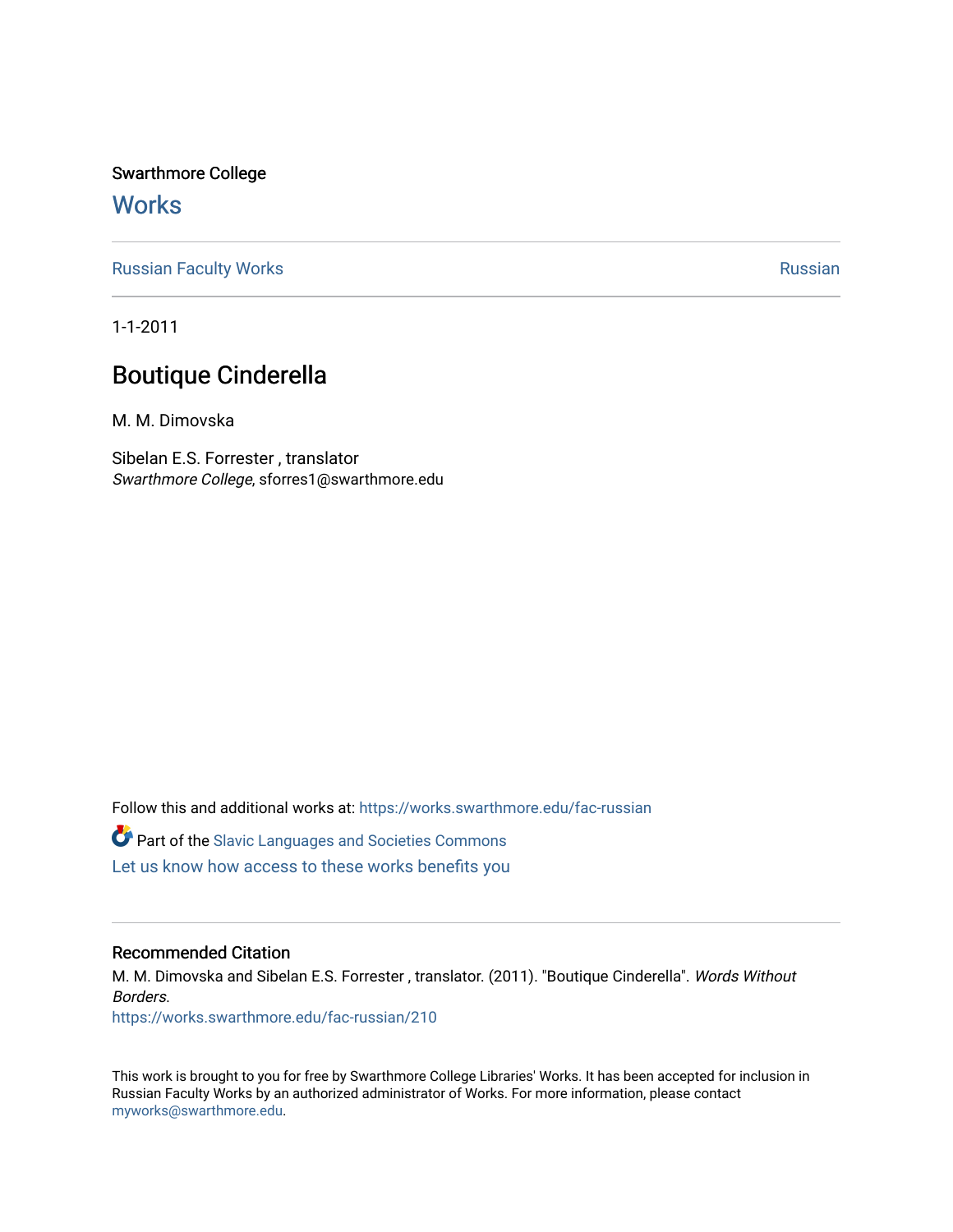Swarthmore College

### **Works**

[Russian Faculty Works](https://works.swarthmore.edu/fac-russian) **Russian** [Russian](https://works.swarthmore.edu/russian) Russian Russian

1-1-2011

## Boutique Cinderella

M. M. Dimovska

Sibelan E.S. Forrester , translator Swarthmore College, sforres1@swarthmore.edu

Follow this and additional works at: [https://works.swarthmore.edu/fac-russian](https://works.swarthmore.edu/fac-russian?utm_source=works.swarthmore.edu%2Ffac-russian%2F210&utm_medium=PDF&utm_campaign=PDFCoverPages) 

**C** Part of the Slavic Languages and Societies Commons

[Let us know how access to these works benefits you](https://forms.gle/4MB8mE2GywC5965J8) 

#### Recommended Citation

M. M. Dimovska and Sibelan E.S. Forrester , translator. (2011). "Boutique Cinderella". Words Without Borders.

<https://works.swarthmore.edu/fac-russian/210>

This work is brought to you for free by Swarthmore College Libraries' Works. It has been accepted for inclusion in Russian Faculty Works by an authorized administrator of Works. For more information, please contact [myworks@swarthmore.edu.](mailto:myworks@swarthmore.edu)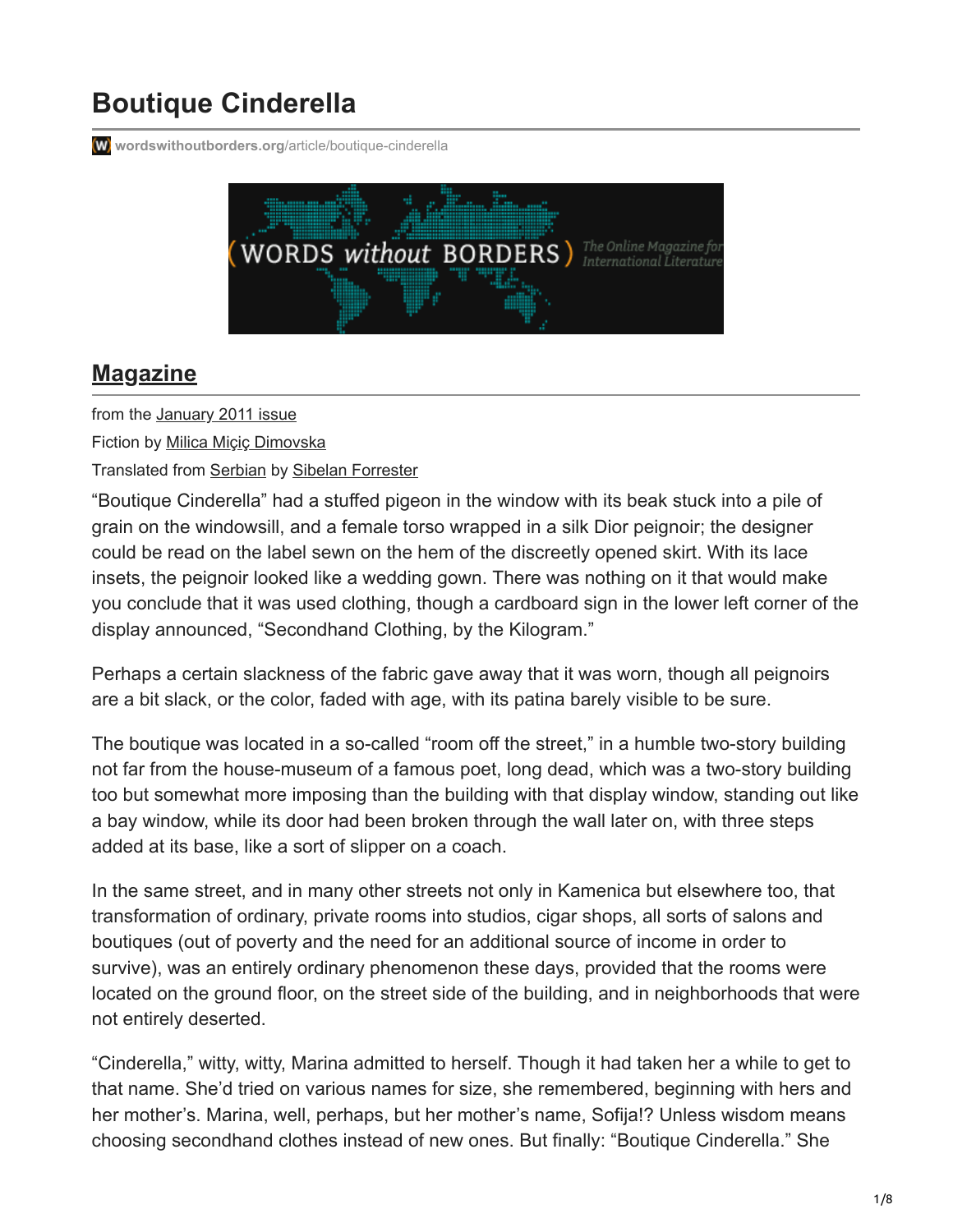# **Boutique Cinderella**

**W** [wordswithoutborders.org](https://www.wordswithoutborders.org/article/boutique-cinderella)/article/boutique-cinderella



### **[Magazine](https://www.wordswithoutborders.org/issues/)**

from the [January 2011 issue](https://www.wordswithoutborders.org/issue/january-2011)

Fiction by [Milica Miçiç Dimovska](https://www.wordswithoutborders.org/contributor/milica-mii-dimovska)

Translated from [Serbian](https://www.wordswithoutborders.org/find/languages/serbian) by [Sibelan Forrester](https://www.wordswithoutborders.org/contributor/sibelan-forrester)

"Boutique Cinderella" had a stuffed pigeon in the window with its beak stuck into a pile of grain on the windowsill, and a female torso wrapped in a silk Dior peignoir; the designer could be read on the label sewn on the hem of the discreetly opened skirt. With its lace insets, the peignoir looked like a wedding gown. There was nothing on it that would make you conclude that it was used clothing, though a cardboard sign in the lower left corner of the display announced, "Secondhand Clothing, by the Kilogram."

Perhaps a certain slackness of the fabric gave away that it was worn, though all peignoirs are a bit slack, or the color, faded with age, with its patina barely visible to be sure.

The boutique was located in a so-called "room off the street," in a humble two-story building not far from the house-museum of a famous poet, long dead, which was a two-story building too but somewhat more imposing than the building with that display window, standing out like a bay window, while its door had been broken through the wall later on, with three steps added at its base, like a sort of slipper on a coach.

In the same street, and in many other streets not only in Kamenica but elsewhere too, that transformation of ordinary, private rooms into studios, cigar shops, all sorts of salons and boutiques (out of poverty and the need for an additional source of income in order to survive), was an entirely ordinary phenomenon these days, provided that the rooms were located on the ground floor, on the street side of the building, and in neighborhoods that were not entirely deserted.

"Cinderella," witty, witty, Marina admitted to herself. Though it had taken her a while to get to that name. She'd tried on various names for size, she remembered, beginning with hers and her mother's. Marina, well, perhaps, but her mother's name, Sofija!? Unless wisdom means choosing secondhand clothes instead of new ones. But finally: "Boutique Cinderella." She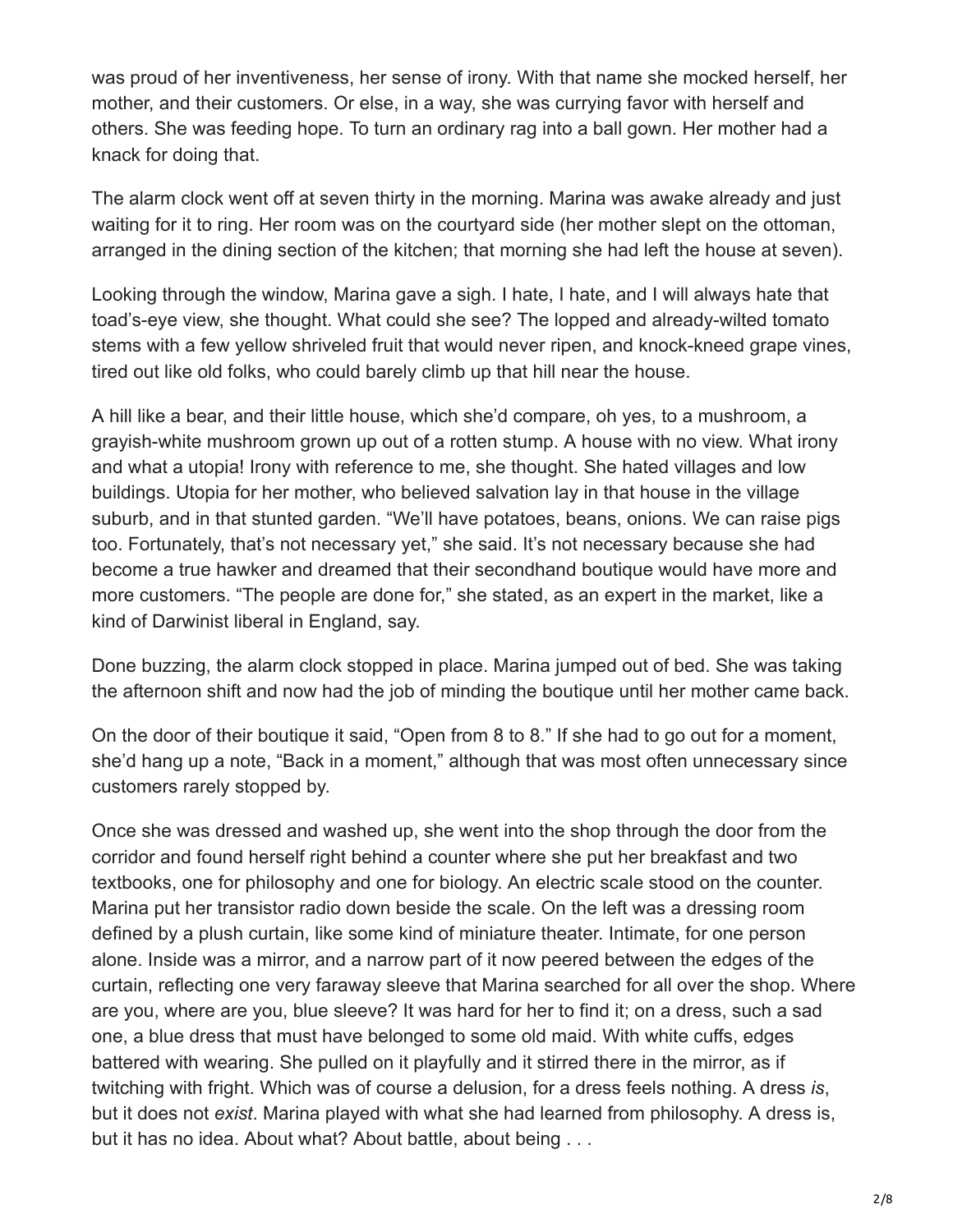was proud of her inventiveness, her sense of irony. With that name she mocked herself, her mother, and their customers. Or else, in a way, she was currying favor with herself and others. She was feeding hope. To turn an ordinary rag into a ball gown. Her mother had a knack for doing that.

The alarm clock went off at seven thirty in the morning. Marina was awake already and just waiting for it to ring. Her room was on the courtyard side (her mother slept on the ottoman, arranged in the dining section of the kitchen; that morning she had left the house at seven).

Looking through the window, Marina gave a sigh. I hate, I hate, and I will always hate that toad's-eye view, she thought. What could she see? The lopped and already-wilted tomato stems with a few yellow shriveled fruit that would never ripen, and knock-kneed grape vines, tired out like old folks, who could barely climb up that hill near the house.

A hill like a bear, and their little house, which she'd compare, oh yes, to a mushroom, a grayish-white mushroom grown up out of a rotten stump. A house with no view. What irony and what a utopia! Irony with reference to me, she thought. She hated villages and low buildings. Utopia for her mother, who believed salvation lay in that house in the village suburb, and in that stunted garden. "We'll have potatoes, beans, onions. We can raise pigs too. Fortunately, that's not necessary yet," she said. It's not necessary because she had become a true hawker and dreamed that their secondhand boutique would have more and more customers. "The people are done for," she stated, as an expert in the market, like a kind of Darwinist liberal in England, say.

Done buzzing, the alarm clock stopped in place. Marina jumped out of bed. She was taking the afternoon shift and now had the job of minding the boutique until her mother came back.

On the door of their boutique it said, "Open from 8 to 8." If she had to go out for a moment, she'd hang up a note, "Back in a moment," although that was most often unnecessary since customers rarely stopped by.

Once she was dressed and washed up, she went into the shop through the door from the corridor and found herself right behind a counter where she put her breakfast and two textbooks, one for philosophy and one for biology. An electric scale stood on the counter. Marina put her transistor radio down beside the scale. On the left was a dressing room defined by a plush curtain, like some kind of miniature theater. Intimate, for one person alone. Inside was a mirror, and a narrow part of it now peered between the edges of the curtain, reflecting one very faraway sleeve that Marina searched for all over the shop. Where are you, where are you, blue sleeve? It was hard for her to find it; on a dress, such a sad one, a blue dress that must have belonged to some old maid. With white cuffs, edges battered with wearing. She pulled on it playfully and it stirred there in the mirror, as if twitching with fright. Which was of course a delusion, for a dress feels nothing. A dress *is*, but it does not *exist*. Marina played with what she had learned from philosophy. A dress is, but it has no idea. About what? About battle, about being . . .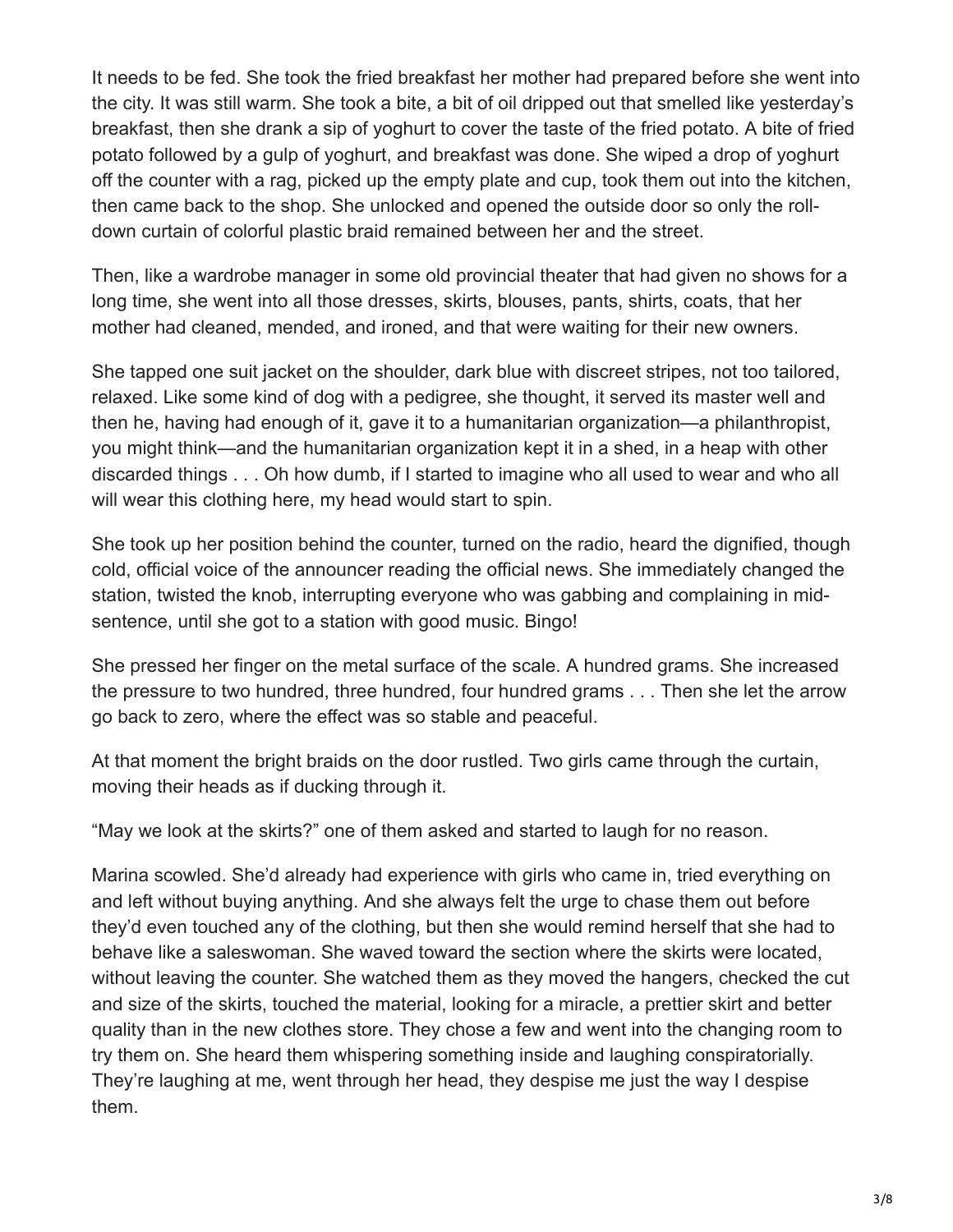It needs to be fed. She took the fried breakfast her mother had prepared before she went into the city. It was still warm. She took a bite, a bit of oil dripped out that smelled like yesterday's breakfast, then she drank a sip of yoghurt to cover the taste of the fried potato. A bite of fried potato followed by a gulp of yoghurt, and breakfast was done. She wiped a drop of yoghurt off the counter with a rag, picked up the empty plate and cup, took them out into the kitchen, then came back to the shop. She unlocked and opened the outside door so only the rolldown curtain of colorful plastic braid remained between her and the street.

Then, like a wardrobe manager in some old provincial theater that had given no shows for a long time, she went into all those dresses, skirts, blouses, pants, shirts, coats, that her mother had cleaned, mended, and ironed, and that were waiting for their new owners.

She tapped one suit jacket on the shoulder, dark blue with discreet stripes, not too tailored, relaxed. Like some kind of dog with a pedigree, she thought, it served its master well and then he, having had enough of it, gave it to a humanitarian organization—a philanthropist, you might think—and the humanitarian organization kept it in a shed, in a heap with other discarded things . . . Oh how dumb, if I started to imagine who all used to wear and who all will wear this clothing here, my head would start to spin.

She took up her position behind the counter, turned on the radio, heard the dignified, though cold, official voice of the announcer reading the official news. She immediately changed the station, twisted the knob, interrupting everyone who was gabbing and complaining in midsentence, until she got to a station with good music. Bingo!

She pressed her finger on the metal surface of the scale. A hundred grams. She increased the pressure to two hundred, three hundred, four hundred grams . . . Then she let the arrow go back to zero, where the effect was so stable and peaceful.

At that moment the bright braids on the door rustled. Two girls came through the curtain, moving their heads as if ducking through it.

"May we look at the skirts?" one of them asked and started to laugh for no reason.

Marina scowled. She'd already had experience with girls who came in, tried everything on and left without buying anything. And she always felt the urge to chase them out before they'd even touched any of the clothing, but then she would remind herself that she had to behave like a saleswoman. She waved toward the section where the skirts were located, without leaving the counter. She watched them as they moved the hangers, checked the cut and size of the skirts, touched the material, looking for a miracle, a prettier skirt and better quality than in the new clothes store. They chose a few and went into the changing room to try them on. She heard them whispering something inside and laughing conspiratorially. They're laughing at me, went through her head, they despise me just the way I despise them.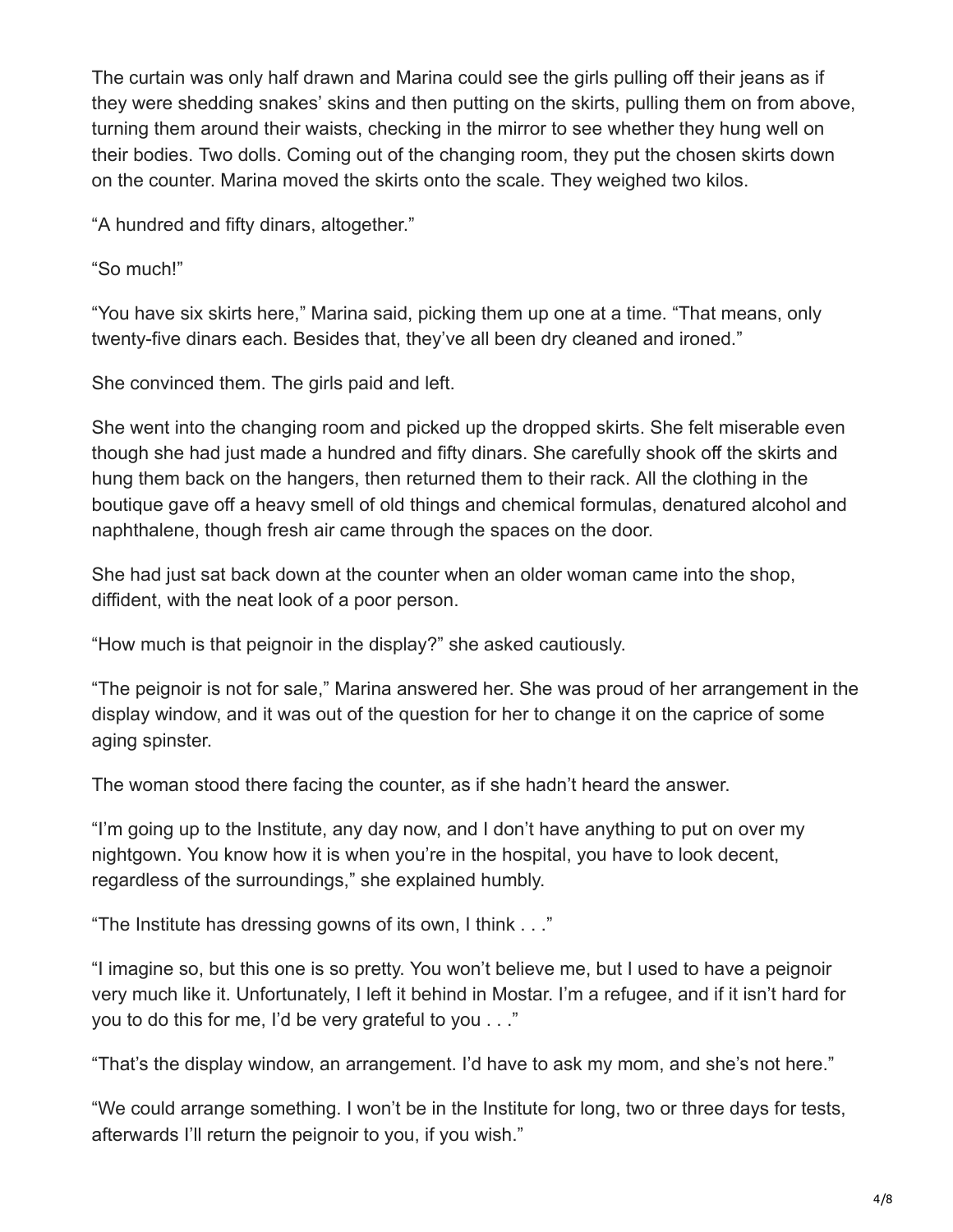The curtain was only half drawn and Marina could see the girls pulling off their jeans as if they were shedding snakes' skins and then putting on the skirts, pulling them on from above, turning them around their waists, checking in the mirror to see whether they hung well on their bodies. Two dolls. Coming out of the changing room, they put the chosen skirts down on the counter. Marina moved the skirts onto the scale. They weighed two kilos.

"A hundred and fifty dinars, altogether."

"So much!"

"You have six skirts here," Marina said, picking them up one at a time. "That means, only twenty-five dinars each. Besides that, they've all been dry cleaned and ironed."

She convinced them. The girls paid and left.

She went into the changing room and picked up the dropped skirts. She felt miserable even though she had just made a hundred and fifty dinars. She carefully shook off the skirts and hung them back on the hangers, then returned them to their rack. All the clothing in the boutique gave off a heavy smell of old things and chemical formulas, denatured alcohol and naphthalene, though fresh air came through the spaces on the door.

She had just sat back down at the counter when an older woman came into the shop, diffident, with the neat look of a poor person.

"How much is that peignoir in the display?" she asked cautiously.

"The peignoir is not for sale," Marina answered her. She was proud of her arrangement in the display window, and it was out of the question for her to change it on the caprice of some aging spinster.

The woman stood there facing the counter, as if she hadn't heard the answer.

"I'm going up to the Institute, any day now, and I don't have anything to put on over my nightgown. You know how it is when you're in the hospital, you have to look decent, regardless of the surroundings," she explained humbly.

"The Institute has dressing gowns of its own, I think . . ."

"I imagine so, but this one is so pretty. You won't believe me, but I used to have a peignoir very much like it. Unfortunately, I left it behind in Mostar. I'm a refugee, and if it isn't hard for you to do this for me, I'd be very grateful to you . . ."

"That's the display window, an arrangement. I'd have to ask my mom, and she's not here."

"We could arrange something. I won't be in the Institute for long, two or three days for tests, afterwards I'll return the peignoir to you, if you wish."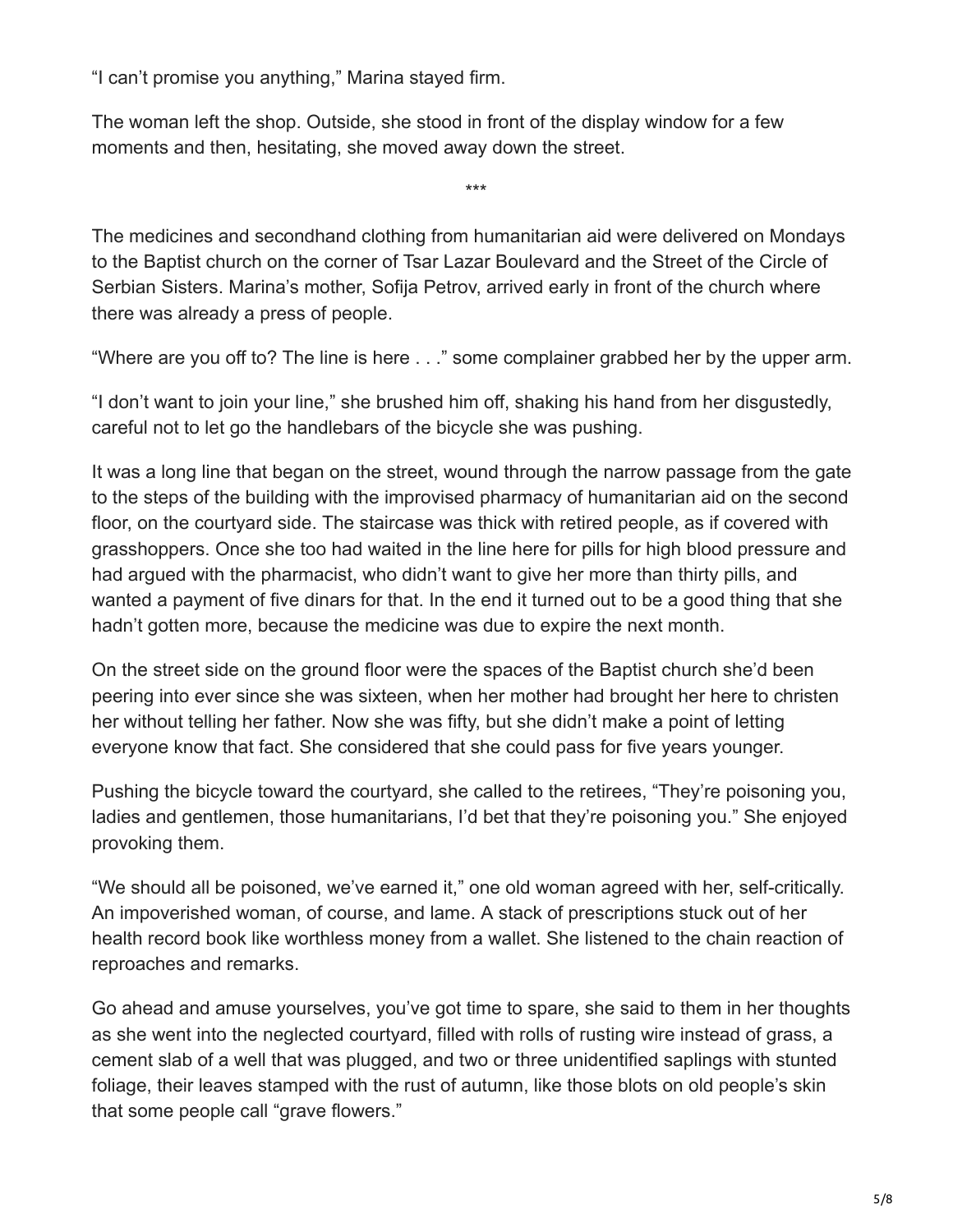"I can't promise you anything," Marina stayed firm.

The woman left the shop. Outside, she stood in front of the display window for a few moments and then, hesitating, she moved away down the street.

The medicines and secondhand clothing from humanitarian aid were delivered on Mondays to the Baptist church on the corner of Tsar Lazar Boulevard and the Street of the Circle of Serbian Sisters. Marina's mother, Sofija Petrov, arrived early in front of the church where there was already a press of people.

\*\*\*

"Where are you off to? The line is here . . ." some complainer grabbed her by the upper arm.

"I don't want to join your line," she brushed him off, shaking his hand from her disgustedly, careful not to let go the handlebars of the bicycle she was pushing.

It was a long line that began on the street, wound through the narrow passage from the gate to the steps of the building with the improvised pharmacy of humanitarian aid on the second floor, on the courtyard side. The staircase was thick with retired people, as if covered with grasshoppers. Once she too had waited in the line here for pills for high blood pressure and had argued with the pharmacist, who didn't want to give her more than thirty pills, and wanted a payment of five dinars for that. In the end it turned out to be a good thing that she hadn't gotten more, because the medicine was due to expire the next month.

On the street side on the ground floor were the spaces of the Baptist church she'd been peering into ever since she was sixteen, when her mother had brought her here to christen her without telling her father. Now she was fifty, but she didn't make a point of letting everyone know that fact. She considered that she could pass for five years younger.

Pushing the bicycle toward the courtyard, she called to the retirees, "They're poisoning you, ladies and gentlemen, those humanitarians, I'd bet that they're poisoning you." She enjoyed provoking them.

"We should all be poisoned, we've earned it," one old woman agreed with her, self-critically. An impoverished woman, of course, and lame. A stack of prescriptions stuck out of her health record book like worthless money from a wallet. She listened to the chain reaction of reproaches and remarks.

Go ahead and amuse yourselves, you've got time to spare, she said to them in her thoughts as she went into the neglected courtyard, filled with rolls of rusting wire instead of grass, a cement slab of a well that was plugged, and two or three unidentified saplings with stunted foliage, their leaves stamped with the rust of autumn, like those blots on old people's skin that some people call "grave flowers."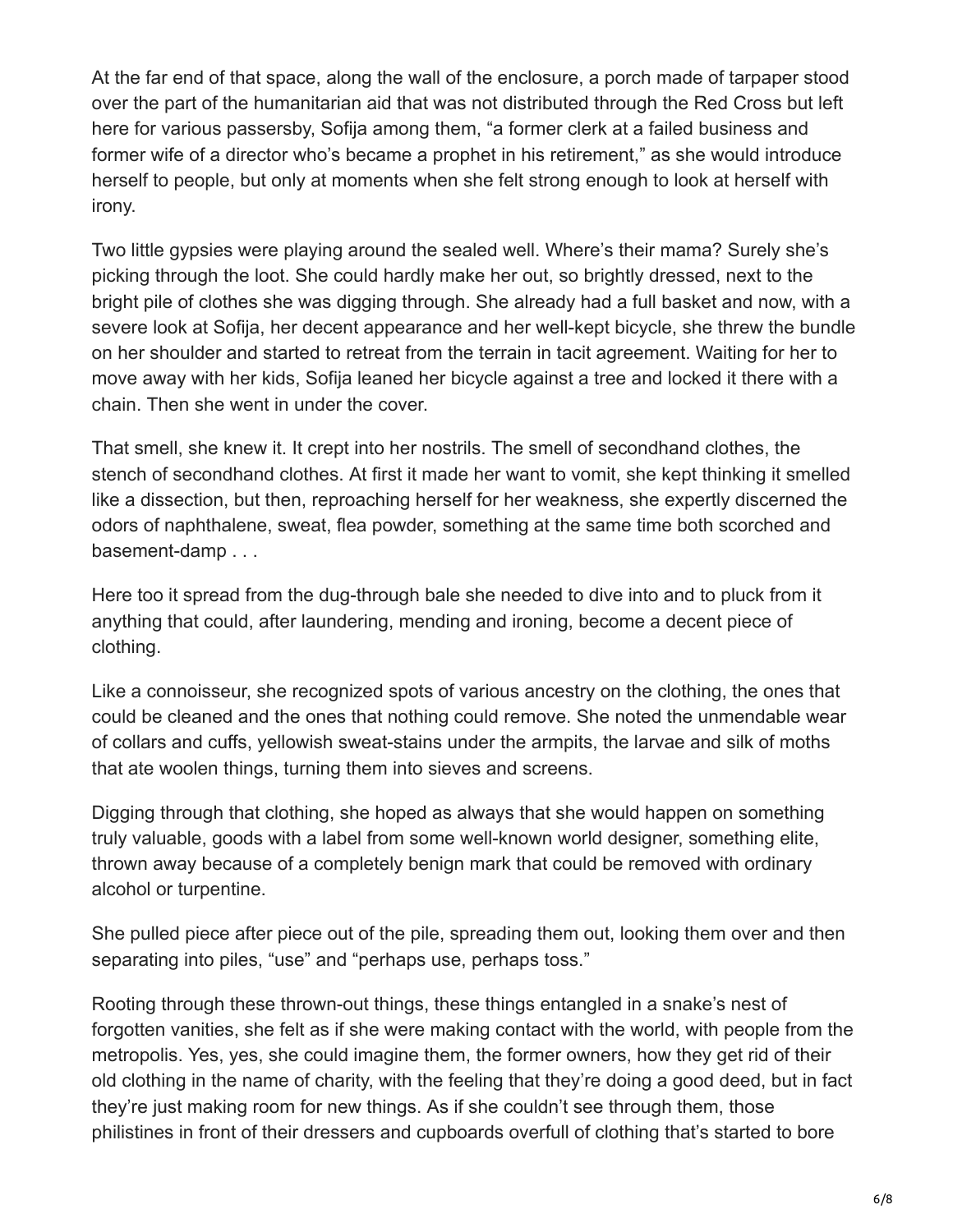At the far end of that space, along the wall of the enclosure, a porch made of tarpaper stood over the part of the humanitarian aid that was not distributed through the Red Cross but left here for various passersby, Sofija among them, "a former clerk at a failed business and former wife of a director who's became a prophet in his retirement," as she would introduce herself to people, but only at moments when she felt strong enough to look at herself with irony.

Two little gypsies were playing around the sealed well. Where's their mama? Surely she's picking through the loot. She could hardly make her out, so brightly dressed, next to the bright pile of clothes she was digging through. She already had a full basket and now, with a severe look at Sofija, her decent appearance and her well-kept bicycle, she threw the bundle on her shoulder and started to retreat from the terrain in tacit agreement. Waiting for her to move away with her kids, Sofija leaned her bicycle against a tree and locked it there with a chain. Then she went in under the cover.

That smell, she knew it. It crept into her nostrils. The smell of secondhand clothes, the stench of secondhand clothes. At first it made her want to vomit, she kept thinking it smelled like a dissection, but then, reproaching herself for her weakness, she expertly discerned the odors of naphthalene, sweat, flea powder, something at the same time both scorched and basement-damp . . .

Here too it spread from the dug-through bale she needed to dive into and to pluck from it anything that could, after laundering, mending and ironing, become a decent piece of clothing.

Like a connoisseur, she recognized spots of various ancestry on the clothing, the ones that could be cleaned and the ones that nothing could remove. She noted the unmendable wear of collars and cuffs, yellowish sweat-stains under the armpits, the larvae and silk of moths that ate woolen things, turning them into sieves and screens.

Digging through that clothing, she hoped as always that she would happen on something truly valuable, goods with a label from some well-known world designer, something elite, thrown away because of a completely benign mark that could be removed with ordinary alcohol or turpentine.

She pulled piece after piece out of the pile, spreading them out, looking them over and then separating into piles, "use" and "perhaps use, perhaps toss."

Rooting through these thrown-out things, these things entangled in a snake's nest of forgotten vanities, she felt as if she were making contact with the world, with people from the metropolis. Yes, yes, she could imagine them, the former owners, how they get rid of their old clothing in the name of charity, with the feeling that they're doing a good deed, but in fact they're just making room for new things. As if she couldn't see through them, those philistines in front of their dressers and cupboards overfull of clothing that's started to bore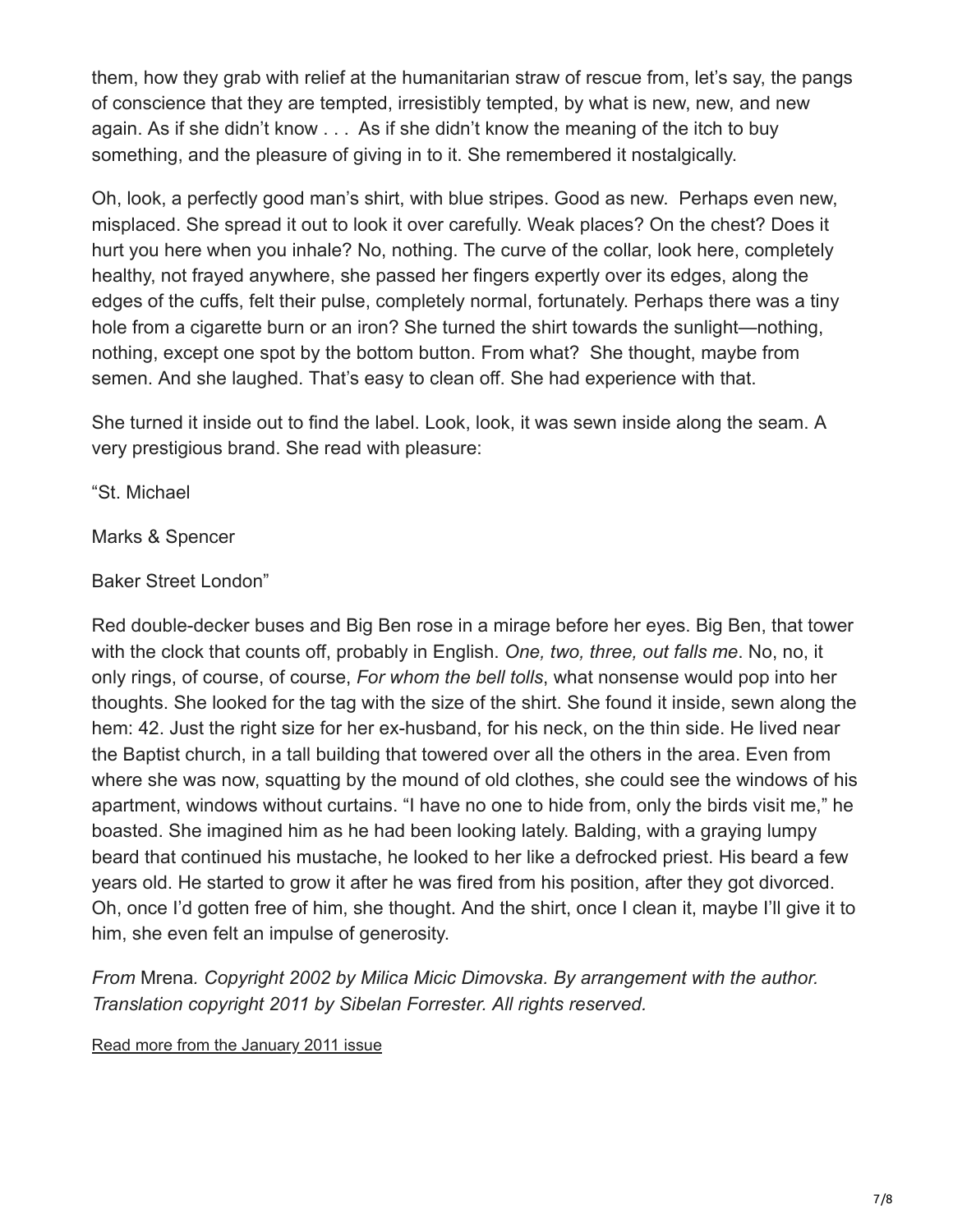them, how they grab with relief at the humanitarian straw of rescue from, let's say, the pangs of conscience that they are tempted, irresistibly tempted, by what is new, new, and new again. As if she didn't know . . . As if she didn't know the meaning of the itch to buy something, and the pleasure of giving in to it. She remembered it nostalgically.

Oh, look, a perfectly good man's shirt, with blue stripes. Good as new. Perhaps even new, misplaced. She spread it out to look it over carefully. Weak places? On the chest? Does it hurt you here when you inhale? No, nothing. The curve of the collar, look here, completely healthy, not frayed anywhere, she passed her fingers expertly over its edges, along the edges of the cuffs, felt their pulse, completely normal, fortunately. Perhaps there was a tiny hole from a cigarette burn or an iron? She turned the shirt towards the sunlight—nothing, nothing, except one spot by the bottom button. From what? She thought, maybe from semen. And she laughed. That's easy to clean off. She had experience with that.

She turned it inside out to find the label. Look, look, it was sewn inside along the seam. A very prestigious brand. She read with pleasure:

"St. Michael

Marks & Spencer

### Baker Street London"

Red double-decker buses and Big Ben rose in a mirage before her eyes. Big Ben, that tower with the clock that counts off, probably in English. *One, two, three, out falls me*. No, no, it only rings, of course, of course, *For whom the bell tolls*, what nonsense would pop into her thoughts. She looked for the tag with the size of the shirt. She found it inside, sewn along the hem: 42. Just the right size for her ex-husband, for his neck, on the thin side. He lived near the Baptist church, in a tall building that towered over all the others in the area. Even from where she was now, squatting by the mound of old clothes, she could see the windows of his apartment, windows without curtains. "I have no one to hide from, only the birds visit me," he boasted. She imagined him as he had been looking lately. Balding, with a graying lumpy beard that continued his mustache, he looked to her like a defrocked priest. His beard a few years old. He started to grow it after he was fired from his position, after they got divorced. Oh, once I'd gotten free of him, she thought. And the shirt, once I clean it, maybe I'll give it to him, she even felt an impulse of generosity.

*From* Mrena*. Copyright 2002 by Milica Micic Dimovska. By arrangement with the author. Translation copyright 2011 by Sibelan Forrester. All rights reserved.*

[Read more from the January 2011 issue](https://www.wordswithoutborders.org/issue/january-2011)